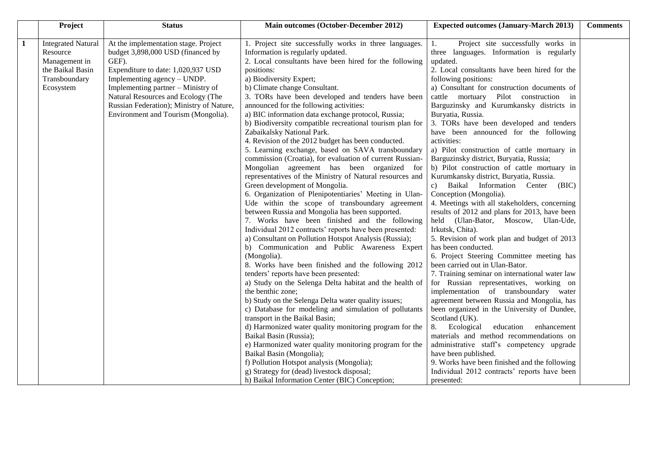|   | Project                   | <b>Status</b>                            | Main outcomes (October-December 2012)                                                                     | <b>Expected outcomes (January-March 2013)</b>                                                  | <b>Comments</b> |
|---|---------------------------|------------------------------------------|-----------------------------------------------------------------------------------------------------------|------------------------------------------------------------------------------------------------|-----------------|
| 1 | <b>Integrated Natural</b> | At the implementation stage. Project     | 1. Project site successfully works in three languages.                                                    | Project site successfully works in<br>1.                                                       |                 |
|   | Resource                  | budget 3,898,000 USD (financed by        | Information is regularly updated.                                                                         | three languages. Information is regularly                                                      |                 |
|   | Management in             | GEF).                                    | 2. Local consultants have been hired for the following                                                    | updated.                                                                                       |                 |
|   | the Baikal Basin          | Expenditure to date: 1,020,937 USD       | positions:                                                                                                | 2. Local consultants have been hired for the                                                   |                 |
|   | Transboundary             | Implementing agency - UNDP.              | a) Biodiversity Expert;                                                                                   | following positions:                                                                           |                 |
|   | Ecosystem                 | Implementing partner – Ministry of       | b) Climate change Consultant.                                                                             | a) Consultant for construction documents of                                                    |                 |
|   |                           | Natural Resources and Ecology (The       | 3. TORs have been developed and tenders have been                                                         | cattle mortuary Pilot construction in                                                          |                 |
|   |                           | Russian Federation); Ministry of Nature, | announced for the following activities:                                                                   | Barguzinsky and Kurumkansky districts in                                                       |                 |
|   |                           | Environment and Tourism (Mongolia).      | a) BIC information data exchange protocol, Russia;                                                        | Buryatia, Russia.                                                                              |                 |
|   |                           |                                          | b) Biodiversity compatible recreational tourism plan for                                                  | 3. TORs have been developed and tenders                                                        |                 |
|   |                           |                                          | Zabaikalsky National Park.                                                                                | have been announced for the following                                                          |                 |
|   |                           |                                          | 4. Revision of the 2012 budget has been conducted.                                                        | activities:                                                                                    |                 |
|   |                           |                                          | 5. Learning exchange, based on SAVA transboundary                                                         | a) Pilot construction of cattle mortuary in                                                    |                 |
|   |                           |                                          | commission (Croatia), for evaluation of current Russian-                                                  | Barguzinsky district, Buryatia, Russia;                                                        |                 |
|   |                           |                                          | Mongolian agreement has been organized for                                                                | b) Pilot construction of cattle mortuary in                                                    |                 |
|   |                           |                                          | representatives of the Ministry of Natural resources and                                                  | Kurumkansky district, Buryatia, Russia.                                                        |                 |
|   |                           |                                          | Green development of Mongolia.                                                                            | Baikal Information Center (BIC)<br>c)                                                          |                 |
|   |                           |                                          | 6. Organization of Plenipotentiaries' Meeting in Ulan-<br>Ude within the scope of transboundary agreement | Conception (Mongolia).                                                                         |                 |
|   |                           |                                          | between Russia and Mongolia has been supported.                                                           | 4. Meetings with all stakeholders, concerning<br>results of 2012 and plans for 2013, have been |                 |
|   |                           |                                          | 7. Works have been finished and the following                                                             | held (Ulan-Bator, Moscow, Ulan-Ude,                                                            |                 |
|   |                           |                                          | Individual 2012 contracts' reports have been presented:                                                   | Irkutsk, Chita).                                                                               |                 |
|   |                           |                                          | a) Consultant on Pollution Hotspot Analysis (Russia);                                                     | 5. Revision of work plan and budget of 2013                                                    |                 |
|   |                           |                                          | b) Communication and Public Awareness Expert                                                              | has been conducted.                                                                            |                 |
|   |                           |                                          | (Mongolia).                                                                                               | 6. Project Steering Committee meeting has                                                      |                 |
|   |                           |                                          | 8. Works have been finished and the following 2012                                                        | been carried out in Ulan-Bator.                                                                |                 |
|   |                           |                                          | tenders' reports have been presented:                                                                     | 7. Training seminar on international water law                                                 |                 |
|   |                           |                                          | a) Study on the Selenga Delta habitat and the health of                                                   | for Russian representatives, working on                                                        |                 |
|   |                           |                                          | the benthic zone;                                                                                         | implementation of transboundary water                                                          |                 |
|   |                           |                                          | b) Study on the Selenga Delta water quality issues;                                                       | agreement between Russia and Mongolia, has                                                     |                 |
|   |                           |                                          | c) Database for modeling and simulation of pollutants                                                     | been organized in the University of Dundee,                                                    |                 |
|   |                           |                                          | transport in the Baikal Basin;                                                                            | Scotland (UK).                                                                                 |                 |
|   |                           |                                          | d) Harmonized water quality monitoring program for the                                                    | Ecological<br>8.<br>education<br>enhancement                                                   |                 |
|   |                           |                                          | Baikal Basin (Russia);                                                                                    | materials and method recommendations on                                                        |                 |
|   |                           |                                          | e) Harmonized water quality monitoring program for the                                                    | administrative staff's competency upgrade                                                      |                 |
|   |                           |                                          | Baikal Basin (Mongolia);                                                                                  | have been published.                                                                           |                 |
|   |                           |                                          | f) Pollution Hotspot analysis (Mongolia);                                                                 | 9. Works have been finished and the following                                                  |                 |
|   |                           |                                          | g) Strategy for (dead) livestock disposal;                                                                | Individual 2012 contracts' reports have been                                                   |                 |
|   |                           |                                          | h) Baikal Information Center (BIC) Conception;                                                            | presented:                                                                                     |                 |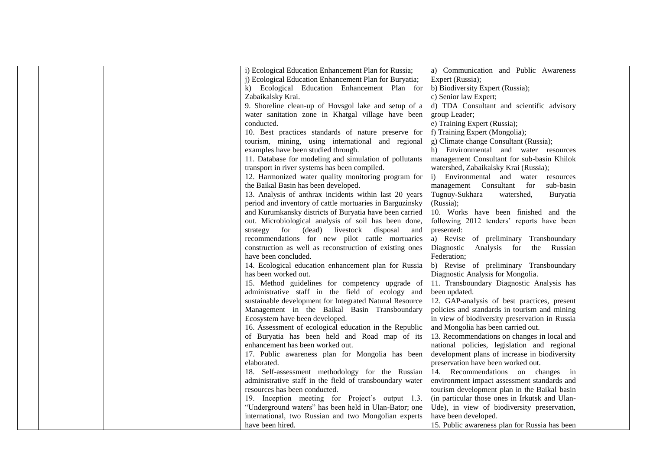|  | i) Ecological Education Enhancement Plan for Russia;     | a) Communication and Public Awareness          |  |
|--|----------------------------------------------------------|------------------------------------------------|--|
|  | j) Ecological Education Enhancement Plan for Buryatia;   | Expert (Russia);                               |  |
|  | k) Ecological Education Enhancement Plan for             | b) Biodiversity Expert (Russia);               |  |
|  | Zabaikalsky Krai.                                        | c) Senior law Expert;                          |  |
|  | 9. Shoreline clean-up of Hovsgol lake and setup of a     | d) TDA Consultant and scientific advisory      |  |
|  | water sanitation zone in Khatgal village have been       | group Leader;                                  |  |
|  | conducted.                                               | e) Training Expert (Russia);                   |  |
|  | 10. Best practices standards of nature preserve for      | f) Training Expert (Mongolia);                 |  |
|  | tourism, mining, using international and regional        | g) Climate change Consultant (Russia);         |  |
|  | examples have been studied through.                      | h) Environmental and water resources           |  |
|  | 11. Database for modeling and simulation of pollutants   | management Consultant for sub-basin Khilok     |  |
|  | transport in river systems has been compiled.            | watershed, Zabaikalsky Krai (Russia);          |  |
|  | 12. Harmonized water quality monitoring program for      | i) Environmental and water<br>resources        |  |
|  | the Baikal Basin has been developed.                     | management Consultant for<br>sub-basin         |  |
|  | 13. Analysis of anthrax incidents within last 20 years   | Tugnuy-Sukhara<br>watershed,<br>Buryatia       |  |
|  | period and inventory of cattle mortuaries in Barguzinsky | (Russia);                                      |  |
|  | and Kurumkansky districts of Buryatia have been carried  | 10. Works have been finished and the           |  |
|  | out. Microbiological analysis of soil has been done,     | following 2012 tenders' reports have been      |  |
|  | strategy for (dead) livestock disposal<br>and            | presented:                                     |  |
|  | recommendations for new pilot cattle mortuaries          | a) Revise of preliminary Transboundary         |  |
|  | construction as well as reconstruction of existing ones  | Analysis for<br>the Russian<br>Diagnostic      |  |
|  | have been concluded.                                     | Federation;                                    |  |
|  | 14. Ecological education enhancement plan for Russia     | b) Revise of preliminary Transboundary         |  |
|  | has been worked out.                                     | Diagnostic Analysis for Mongolia.              |  |
|  | 15. Method guidelines for competency upgrade of          | 11. Transboundary Diagnostic Analysis has      |  |
|  | administrative staff in the field of ecology and         | been updated.                                  |  |
|  | sustainable development for Integrated Natural Resource  | 12. GAP-analysis of best practices, present    |  |
|  | Management in the Baikal Basin Transboundary             | policies and standards in tourism and mining   |  |
|  | Ecosystem have been developed.                           | in view of biodiversity preservation in Russia |  |
|  | 16. Assessment of ecological education in the Republic   | and Mongolia has been carried out.             |  |
|  | of Buryatia has been held and Road map of its            | 13. Recommendations on changes in local and    |  |
|  | enhancement has been worked out.                         | national policies, legislation and regional    |  |
|  | 17. Public awareness plan for Mongolia has been          | development plans of increase in biodiversity  |  |
|  | elaborated.                                              | preservation have been worked out.             |  |
|  | 18. Self-assessment methodology for the Russian          | 14. Recommendations on changes in              |  |
|  | administrative staff in the field of transboundary water | environment impact assessment standards and    |  |
|  | resources has been conducted.                            | tourism development plan in the Baikal basin   |  |
|  | 19. Inception meeting for Project's output 1.3.          | (in particular those ones in Irkutsk and Ulan- |  |
|  | "Underground waters" has been held in Ulan-Bator; one    | Ude), in view of biodiversity preservation,    |  |
|  | international, two Russian and two Mongolian experts     | have been developed.                           |  |
|  | have been hired.                                         | 15. Public awareness plan for Russia has been  |  |
|  |                                                          |                                                |  |